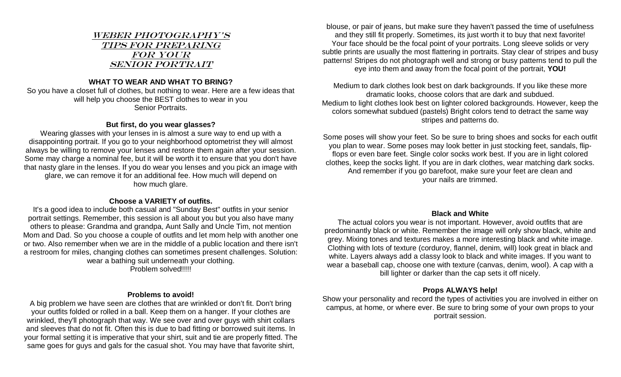# Weber Photography's Tips for preparing FOR YOUR Senior Portrait

## **WHAT TO WEAR AND WHAT TO BRING?**

So you have a closet full of clothes, but nothing to wear. Here are a few ideas that will help you choose the BEST clothes to wear in you Senior Portraits.

### **But first, do you wear glasses?**

Wearing glasses with your lenses in is almost a sure way to end up with a disappointing portrait. If you go to your neighborhood optometrist they will almost always be willing to remove your lenses and restore them again after your session. Some may charge a nominal fee, but it will be worth it to ensure that you don't have that nasty glare in the lenses. If you do wear you lenses and you pick an image with glare, we can remove it for an additional fee. How much will depend on how much glare.

## **Choose a VARIETY of outfits.**

It's a good idea to include both casual and "Sunday Best" outfits in your senior portrait settings. Remember, this session is all about you but you also have many others to please: Grandma and grandpa, Aunt Sally and Uncle Tim, not mention Mom and Dad. So you choose a couple of outfits and let mom help with another one or two. Also remember when we are in the middle of a public location and there isn't a restroom for miles, changing clothes can sometimes present challenges. Solution: wear a bathing suit underneath your clothing. Problem solved!!!!!

#### **Problems to avoid!**

A big problem we have seen are clothes that are wrinkled or don't fit. Don't bring your outfits folded or rolled in a ball. Keep them on a hanger. If your clothes are wrinkled, they'll photograph that way. We see over and over guys with shirt collars and sleeves that do not fit. Often this is due to bad fitting or borrowed suit items. In your formal setting it is imperative that your shirt, suit and tie are properly fitted. The same goes for guys and gals for the casual shot. You may have that favorite shirt,

blouse, or pair of jeans, but make sure they haven't passed the time of usefulness and they still fit properly. Sometimes, its just worth it to buy that next favorite! Your face should be the focal point of your portraits. Long sleeve solids or very subtle prints are usually the most flattering in portraits. Stay clear of stripes and busy patterns! Stripes do not photograph well and strong or busy patterns tend to pull the eye into them and away from the focal point of the portrait, **YOU!**

Medium to dark clothes look best on dark backgrounds. If you like these more dramatic looks, choose colors that are dark and subdued. Medium to light clothes look best on lighter colored backgrounds. However, keep the colors somewhat subdued (pastels) Bright colors tend to detract the same way stripes and patterns do.

Some poses will show your feet. So be sure to bring shoes and socks for each outfit you plan to wear. Some poses may look better in just stocking feet, sandals, flipflops or even bare feet. Single color socks work best. If you are in light colored clothes, keep the socks light. If you are in dark clothes, wear matching dark socks. And remember if you go barefoot, make sure your feet are clean and your nails are trimmed.

## **Black and White**

The actual colors you wear is not important. However, avoid outfits that are predominantly black or white. Remember the image will only show black, white and grey. Mixing tones and textures makes a more interesting black and white image. Clothing with lots of texture (corduroy, flannel, denim, will) look great in black and white. Layers always add a classy look to black and white images. If you want to wear a baseball cap, choose one with texture (canvas, denim, wool). A cap with a bill lighter or darker than the cap sets it off nicely.

# **Props ALWAYS help!**

Show your personality and record the types of activities you are involved in either on campus, at home, or where ever. Be sure to bring some of your own props to your portrait session.